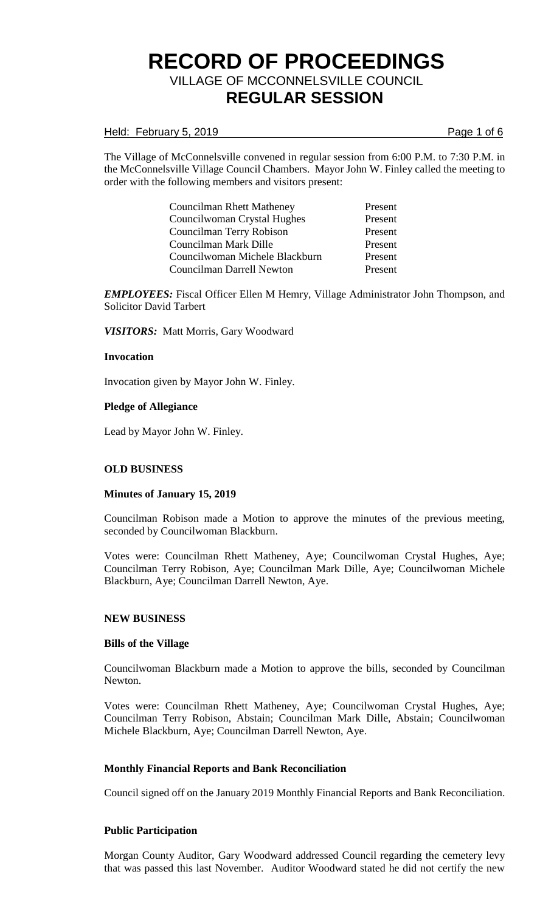### Held: February 5, 2019 **Page 1** of 6

The Village of McConnelsville convened in regular session from 6:00 P.M. to 7:30 P.M. in the McConnelsville Village Council Chambers. Mayor John W. Finley called the meeting to order with the following members and visitors present:

> Councilman Rhett Matheney Present Councilwoman Crystal Hughes Present Councilman Terry Robison Present Councilman Mark Dille Present Councilwoman Michele Blackburn Present Councilman Darrell Newton Present

*EMPLOYEES:* Fiscal Officer Ellen M Hemry, Village Administrator John Thompson, and Solicitor David Tarbert

*VISITORS:* Matt Morris, Gary Woodward

### **Invocation**

Invocation given by Mayor John W. Finley.

### **Pledge of Allegiance**

Lead by Mayor John W. Finley.

### **OLD BUSINESS**

#### **Minutes of January 15, 2019**

Councilman Robison made a Motion to approve the minutes of the previous meeting, seconded by Councilwoman Blackburn.

Votes were: Councilman Rhett Matheney, Aye; Councilwoman Crystal Hughes, Aye; Councilman Terry Robison, Aye; Councilman Mark Dille, Aye; Councilwoman Michele Blackburn, Aye; Councilman Darrell Newton, Aye.

#### **NEW BUSINESS**

#### **Bills of the Village**

Councilwoman Blackburn made a Motion to approve the bills, seconded by Councilman Newton.

Votes were: Councilman Rhett Matheney, Aye; Councilwoman Crystal Hughes, Aye; Councilman Terry Robison, Abstain; Councilman Mark Dille, Abstain; Councilwoman Michele Blackburn, Aye; Councilman Darrell Newton, Aye.

#### **Monthly Financial Reports and Bank Reconciliation**

Council signed off on the January 2019 Monthly Financial Reports and Bank Reconciliation.

### **Public Participation**

Morgan County Auditor, Gary Woodward addressed Council regarding the cemetery levy that was passed this last November. Auditor Woodward stated he did not certify the new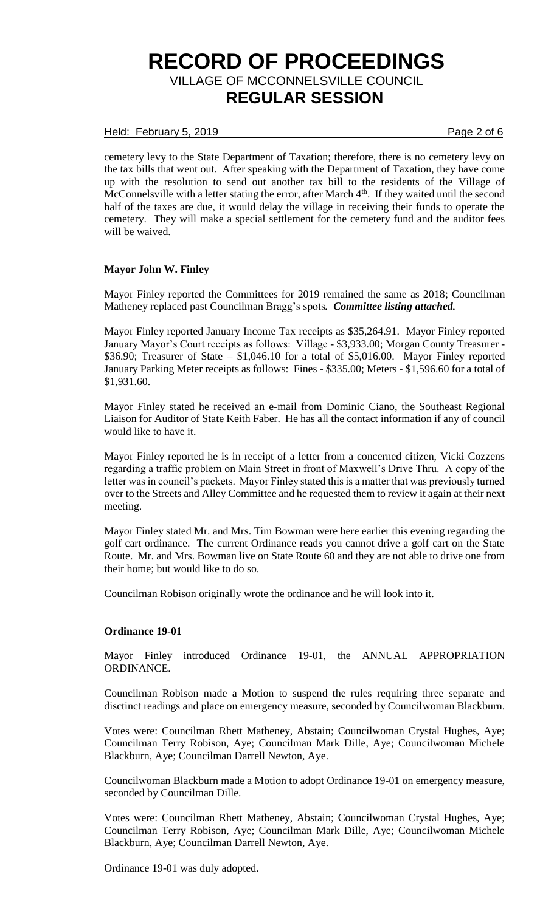## Held: February 5, 2019 **Page 2 of 6**

cemetery levy to the State Department of Taxation; therefore, there is no cemetery levy on the tax bills that went out. After speaking with the Department of Taxation, they have come up with the resolution to send out another tax bill to the residents of the Village of McConnelsville with a letter stating the error, after March 4<sup>th</sup>. If they waited until the second half of the taxes are due, it would delay the village in receiving their funds to operate the cemetery. They will make a special settlement for the cemetery fund and the auditor fees will be waived.

### **Mayor John W. Finley**

Mayor Finley reported the Committees for 2019 remained the same as 2018; Councilman Matheney replaced past Councilman Bragg's spots*. Committee listing attached.*

Mayor Finley reported January Income Tax receipts as \$35,264.91. Mayor Finley reported January Mayor's Court receipts as follows: Village - \$3,933.00; Morgan County Treasurer - \$36.90; Treasurer of State – \$1,046.10 for a total of \$5,016.00. Mayor Finley reported January Parking Meter receipts as follows: Fines - \$335.00; Meters - \$1,596.60 for a total of \$1,931.60.

Mayor Finley stated he received an e-mail from Dominic Ciano, the Southeast Regional Liaison for Auditor of State Keith Faber. He has all the contact information if any of council would like to have it.

Mayor Finley reported he is in receipt of a letter from a concerned citizen, Vicki Cozzens regarding a traffic problem on Main Street in front of Maxwell's Drive Thru. A copy of the letter was in council's packets. Mayor Finley stated this is a matter that was previously turned over to the Streets and Alley Committee and he requested them to review it again at their next meeting.

Mayor Finley stated Mr. and Mrs. Tim Bowman were here earlier this evening regarding the golf cart ordinance. The current Ordinance reads you cannot drive a golf cart on the State Route. Mr. and Mrs. Bowman live on State Route 60 and they are not able to drive one from their home; but would like to do so.

Councilman Robison originally wrote the ordinance and he will look into it.

#### **Ordinance 19-01**

Mayor Finley introduced Ordinance 19-01, the ANNUAL APPROPRIATION ORDINANCE.

Councilman Robison made a Motion to suspend the rules requiring three separate and disctinct readings and place on emergency measure, seconded by Councilwoman Blackburn.

Votes were: Councilman Rhett Matheney, Abstain; Councilwoman Crystal Hughes, Aye; Councilman Terry Robison, Aye; Councilman Mark Dille, Aye; Councilwoman Michele Blackburn, Aye; Councilman Darrell Newton, Aye.

Councilwoman Blackburn made a Motion to adopt Ordinance 19-01 on emergency measure, seconded by Councilman Dille.

Votes were: Councilman Rhett Matheney, Abstain; Councilwoman Crystal Hughes, Aye; Councilman Terry Robison, Aye; Councilman Mark Dille, Aye; Councilwoman Michele Blackburn, Aye; Councilman Darrell Newton, Aye.

Ordinance 19-01 was duly adopted.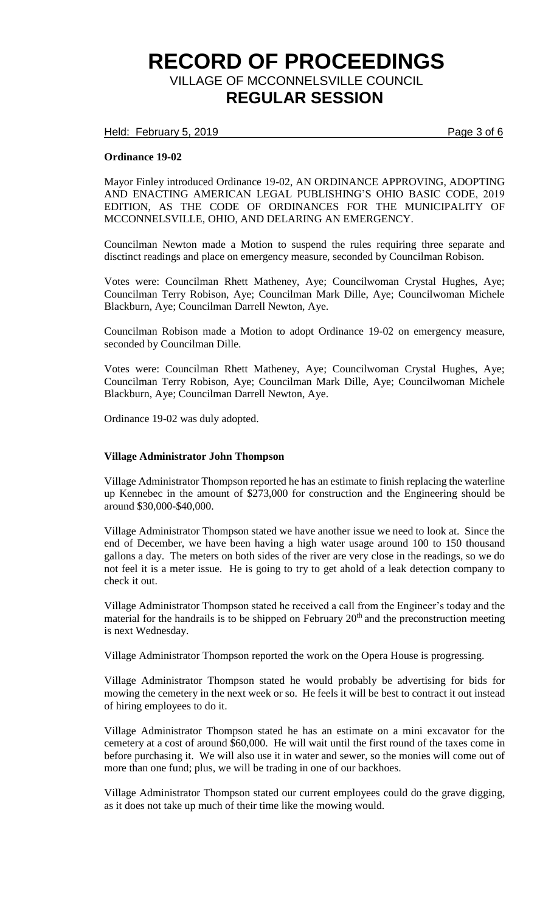Held: February 5, 2019 **Page 3 of 6** 

### **Ordinance 19-02**

Mayor Finley introduced Ordinance 19-02, AN ORDINANCE APPROVING, ADOPTING AND ENACTING AMERICAN LEGAL PUBLISHING'S OHIO BASIC CODE, 2019 EDITION, AS THE CODE OF ORDINANCES FOR THE MUNICIPALITY OF MCCONNELSVILLE, OHIO, AND DELARING AN EMERGENCY.

Councilman Newton made a Motion to suspend the rules requiring three separate and disctinct readings and place on emergency measure, seconded by Councilman Robison.

Votes were: Councilman Rhett Matheney, Aye; Councilwoman Crystal Hughes, Aye; Councilman Terry Robison, Aye; Councilman Mark Dille, Aye; Councilwoman Michele Blackburn, Aye; Councilman Darrell Newton, Aye.

Councilman Robison made a Motion to adopt Ordinance 19-02 on emergency measure, seconded by Councilman Dille.

Votes were: Councilman Rhett Matheney, Aye; Councilwoman Crystal Hughes, Aye; Councilman Terry Robison, Aye; Councilman Mark Dille, Aye; Councilwoman Michele Blackburn, Aye; Councilman Darrell Newton, Aye.

Ordinance 19-02 was duly adopted.

#### **Village Administrator John Thompson**

Village Administrator Thompson reported he has an estimate to finish replacing the waterline up Kennebec in the amount of \$273,000 for construction and the Engineering should be around \$30,000-\$40,000.

Village Administrator Thompson stated we have another issue we need to look at. Since the end of December, we have been having a high water usage around 100 to 150 thousand gallons a day. The meters on both sides of the river are very close in the readings, so we do not feel it is a meter issue. He is going to try to get ahold of a leak detection company to check it out.

Village Administrator Thompson stated he received a call from the Engineer's today and the material for the handrails is to be shipped on February  $20<sup>th</sup>$  and the preconstruction meeting is next Wednesday.

Village Administrator Thompson reported the work on the Opera House is progressing.

Village Administrator Thompson stated he would probably be advertising for bids for mowing the cemetery in the next week or so. He feels it will be best to contract it out instead of hiring employees to do it.

Village Administrator Thompson stated he has an estimate on a mini excavator for the cemetery at a cost of around \$60,000. He will wait until the first round of the taxes come in before purchasing it. We will also use it in water and sewer, so the monies will come out of more than one fund; plus, we will be trading in one of our backhoes.

Village Administrator Thompson stated our current employees could do the grave digging, as it does not take up much of their time like the mowing would.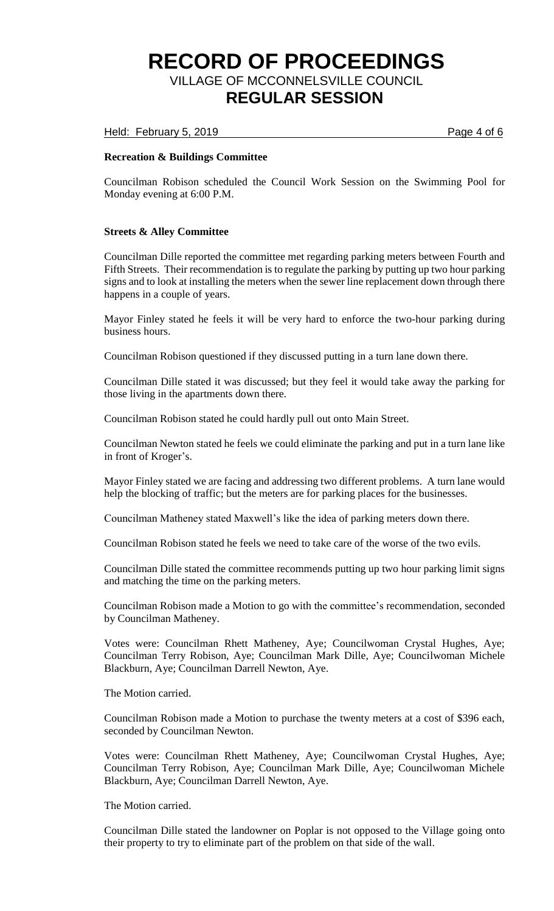Held: February 5, 2019 **Page 4 of 6** 

### **Recreation & Buildings Committee**

Councilman Robison scheduled the Council Work Session on the Swimming Pool for Monday evening at 6:00 P.M.

### **Streets & Alley Committee**

Councilman Dille reported the committee met regarding parking meters between Fourth and Fifth Streets. Their recommendation is to regulate the parking by putting up two hour parking signs and to look at installing the meters when the sewer line replacement down through there happens in a couple of years.

Mayor Finley stated he feels it will be very hard to enforce the two-hour parking during business hours.

Councilman Robison questioned if they discussed putting in a turn lane down there.

Councilman Dille stated it was discussed; but they feel it would take away the parking for those living in the apartments down there.

Councilman Robison stated he could hardly pull out onto Main Street.

Councilman Newton stated he feels we could eliminate the parking and put in a turn lane like in front of Kroger's.

Mayor Finley stated we are facing and addressing two different problems. A turn lane would help the blocking of traffic; but the meters are for parking places for the businesses.

Councilman Matheney stated Maxwell's like the idea of parking meters down there.

Councilman Robison stated he feels we need to take care of the worse of the two evils.

Councilman Dille stated the committee recommends putting up two hour parking limit signs and matching the time on the parking meters.

Councilman Robison made a Motion to go with the committee's recommendation, seconded by Councilman Matheney.

Votes were: Councilman Rhett Matheney, Aye; Councilwoman Crystal Hughes, Aye; Councilman Terry Robison, Aye; Councilman Mark Dille, Aye; Councilwoman Michele Blackburn, Aye; Councilman Darrell Newton, Aye.

The Motion carried.

Councilman Robison made a Motion to purchase the twenty meters at a cost of \$396 each, seconded by Councilman Newton.

Votes were: Councilman Rhett Matheney, Aye; Councilwoman Crystal Hughes, Aye; Councilman Terry Robison, Aye; Councilman Mark Dille, Aye; Councilwoman Michele Blackburn, Aye; Councilman Darrell Newton, Aye.

The Motion carried.

Councilman Dille stated the landowner on Poplar is not opposed to the Village going onto their property to try to eliminate part of the problem on that side of the wall.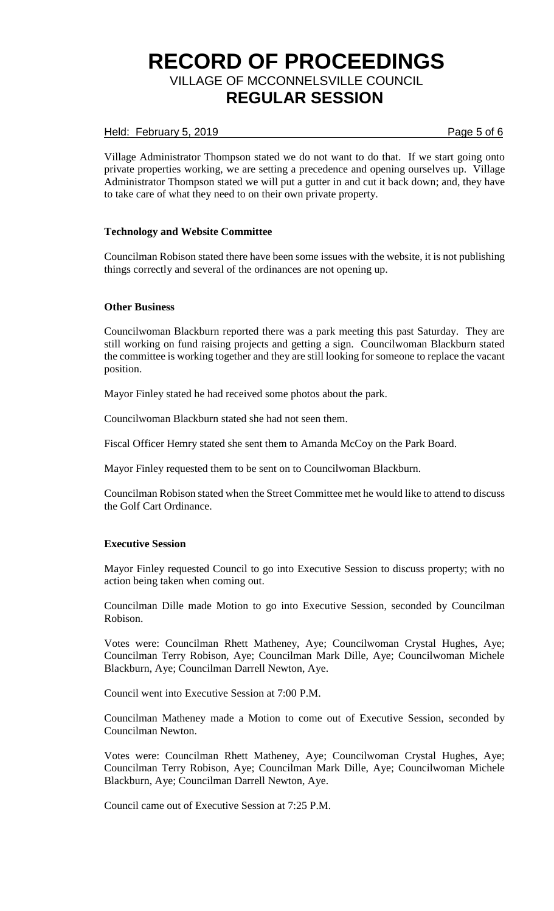## Held: February 5, 2019 **Page 5 of 6**

Village Administrator Thompson stated we do not want to do that. If we start going onto private properties working, we are setting a precedence and opening ourselves up. Village Administrator Thompson stated we will put a gutter in and cut it back down; and, they have to take care of what they need to on their own private property.

## **Technology and Website Committee**

Councilman Robison stated there have been some issues with the website, it is not publishing things correctly and several of the ordinances are not opening up.

### **Other Business**

Councilwoman Blackburn reported there was a park meeting this past Saturday. They are still working on fund raising projects and getting a sign. Councilwoman Blackburn stated the committee is working together and they are still looking for someone to replace the vacant position.

Mayor Finley stated he had received some photos about the park.

Councilwoman Blackburn stated she had not seen them.

Fiscal Officer Hemry stated she sent them to Amanda McCoy on the Park Board.

Mayor Finley requested them to be sent on to Councilwoman Blackburn.

Councilman Robison stated when the Street Committee met he would like to attend to discuss the Golf Cart Ordinance.

### **Executive Session**

Mayor Finley requested Council to go into Executive Session to discuss property; with no action being taken when coming out.

Councilman Dille made Motion to go into Executive Session, seconded by Councilman Robison.

Votes were: Councilman Rhett Matheney, Aye; Councilwoman Crystal Hughes, Aye; Councilman Terry Robison, Aye; Councilman Mark Dille, Aye; Councilwoman Michele Blackburn, Aye; Councilman Darrell Newton, Aye.

Council went into Executive Session at 7:00 P.M.

Councilman Matheney made a Motion to come out of Executive Session, seconded by Councilman Newton.

Votes were: Councilman Rhett Matheney, Aye; Councilwoman Crystal Hughes, Aye; Councilman Terry Robison, Aye; Councilman Mark Dille, Aye; Councilwoman Michele Blackburn, Aye; Councilman Darrell Newton, Aye.

Council came out of Executive Session at 7:25 P.M.